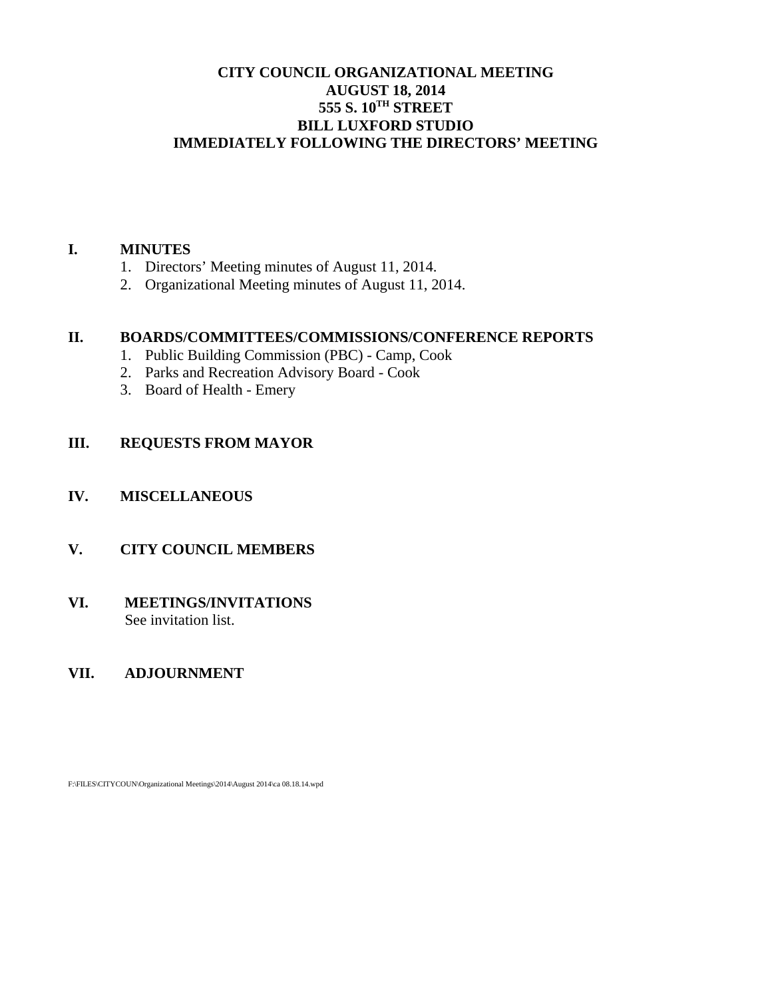# **CITY COUNCIL ORGANIZATIONAL MEETING AUGUST 18, 2014 555 S. 10TH STREET BILL LUXFORD STUDIO IMMEDIATELY FOLLOWING THE DIRECTORS' MEETING**

#### **I. MINUTES**

- 1. Directors' Meeting minutes of August 11, 2014.
- 2. Organizational Meeting minutes of August 11, 2014.

#### **II. BOARDS/COMMITTEES/COMMISSIONS/CONFERENCE REPORTS**

- 1. Public Building Commission (PBC) Camp, Cook
- 2. Parks and Recreation Advisory Board Cook
- 3. Board of Health Emery

# **III. REQUESTS FROM MAYOR**

# **IV. MISCELLANEOUS**

**V. CITY COUNCIL MEMBERS**

### **VI. MEETINGS/INVITATIONS** See invitation list.

# **VII. ADJOURNMENT**

F:\FILES\CITYCOUN\Organizational Meetings\2014\August 2014\ca 08.18.14.wpd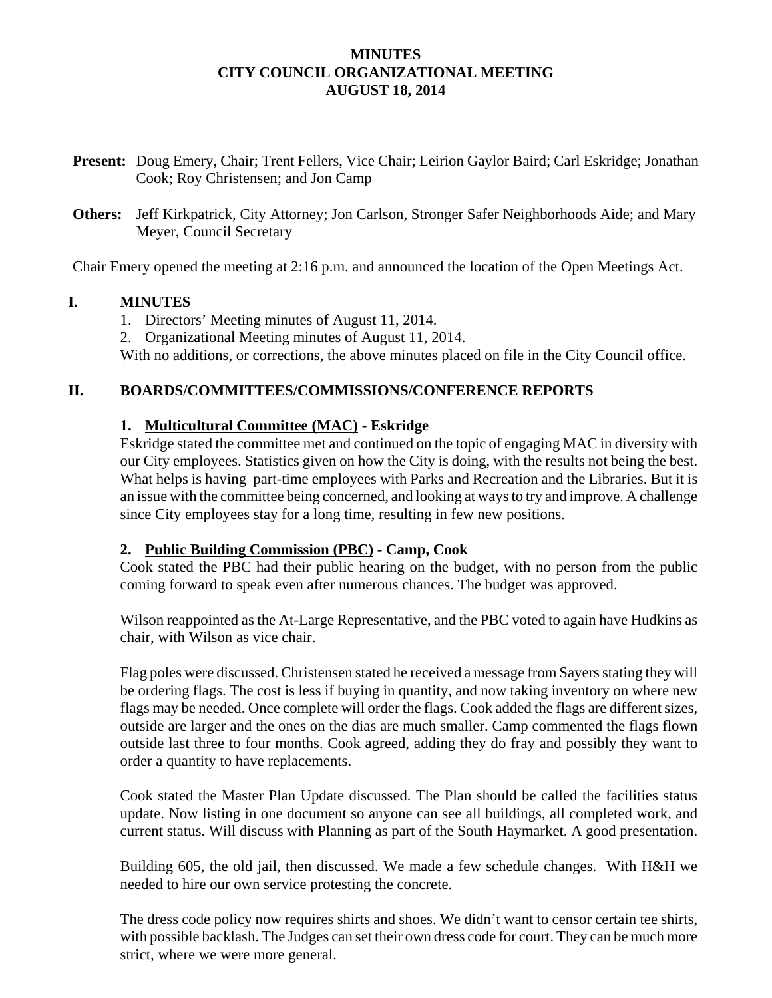## **MINUTES CITY COUNCIL ORGANIZATIONAL MEETING AUGUST 18, 2014**

- **Present:** Doug Emery, Chair; Trent Fellers, Vice Chair; Leirion Gaylor Baird; Carl Eskridge; Jonathan Cook; Roy Christensen; and Jon Camp
- **Others:** Jeff Kirkpatrick, City Attorney; Jon Carlson, Stronger Safer Neighborhoods Aide; and Mary Meyer, Council Secretary

Chair Emery opened the meeting at 2:16 p.m. and announced the location of the Open Meetings Act.

### **I. MINUTES**

- 1. Directors' Meeting minutes of August 11, 2014.
- 2. Organizational Meeting minutes of August 11, 2014.

With no additions, or corrections, the above minutes placed on file in the City Council office.

### **II. BOARDS/COMMITTEES/COMMISSIONS/CONFERENCE REPORTS**

### **1. Multicultural Committee (MAC)** - **Eskridge**

Eskridge stated the committee met and continued on the topic of engaging MAC in diversity with our City employees. Statistics given on how the City is doing, with the results not being the best. What helps is having part-time employees with Parks and Recreation and the Libraries. But it is an issue with the committee being concerned, and looking at ways to try and improve. A challenge since City employees stay for a long time, resulting in few new positions.

#### **2. Public Building Commission (PBC) - Camp, Cook**

Cook stated the PBC had their public hearing on the budget, with no person from the public coming forward to speak even after numerous chances. The budget was approved.

Wilson reappointed as the At-Large Representative, and the PBC voted to again have Hudkins as chair, with Wilson as vice chair.

Flag poles were discussed. Christensen stated he received a message from Sayers stating they will be ordering flags. The cost is less if buying in quantity, and now taking inventory on where new flags may be needed. Once complete will order the flags. Cook added the flags are different sizes, outside are larger and the ones on the dias are much smaller. Camp commented the flags flown outside last three to four months. Cook agreed, adding they do fray and possibly they want to order a quantity to have replacements.

Cook stated the Master Plan Update discussed. The Plan should be called the facilities status update. Now listing in one document so anyone can see all buildings, all completed work, and current status. Will discuss with Planning as part of the South Haymarket. A good presentation.

Building 605, the old jail, then discussed. We made a few schedule changes. With H&H we needed to hire our own service protesting the concrete.

The dress code policy now requires shirts and shoes. We didn't want to censor certain tee shirts, with possible backlash. The Judges can set their own dress code for court. They can be much more strict, where we were more general.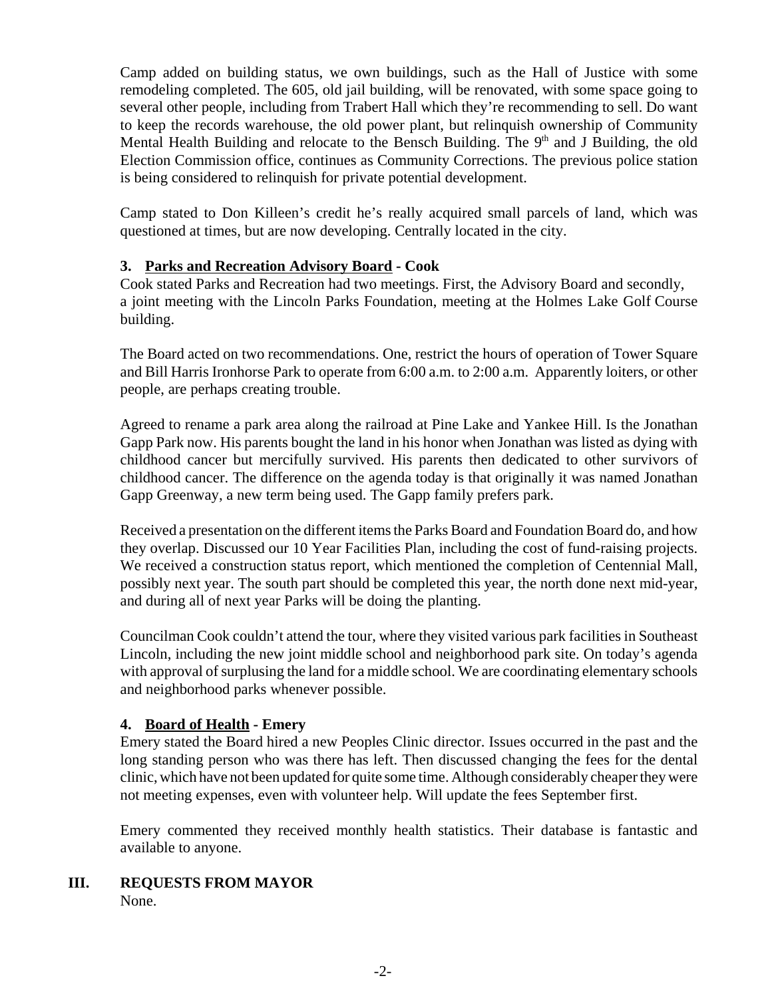Camp added on building status, we own buildings, such as the Hall of Justice with some remodeling completed. The 605, old jail building, will be renovated, with some space going to several other people, including from Trabert Hall which they're recommending to sell. Do want to keep the records warehouse, the old power plant, but relinquish ownership of Community Mental Health Building and relocate to the Bensch Building. The 9<sup>th</sup> and J Building, the old Election Commission office, continues as Community Corrections. The previous police station is being considered to relinquish for private potential development.

Camp stated to Don Killeen's credit he's really acquired small parcels of land, which was questioned at times, but are now developing. Centrally located in the city.

# **3. Parks and Recreation Advisory Board - Cook**

Cook stated Parks and Recreation had two meetings. First, the Advisory Board and secondly, a joint meeting with the Lincoln Parks Foundation, meeting at the Holmes Lake Golf Course building.

The Board acted on two recommendations. One, restrict the hours of operation of Tower Square and Bill Harris Ironhorse Park to operate from 6:00 a.m. to 2:00 a.m. Apparently loiters, or other people, are perhaps creating trouble.

Agreed to rename a park area along the railroad at Pine Lake and Yankee Hill. Is the Jonathan Gapp Park now. His parents bought the land in his honor when Jonathan was listed as dying with childhood cancer but mercifully survived. His parents then dedicated to other survivors of childhood cancer. The difference on the agenda today is that originally it was named Jonathan Gapp Greenway, a new term being used. The Gapp family prefers park.

Received a presentation on the different items the Parks Board and Foundation Board do, and how they overlap. Discussed our 10 Year Facilities Plan, including the cost of fund-raising projects. We received a construction status report, which mentioned the completion of Centennial Mall, possibly next year. The south part should be completed this year, the north done next mid-year, and during all of next year Parks will be doing the planting.

Councilman Cook couldn't attend the tour, where they visited various park facilities in Southeast Lincoln, including the new joint middle school and neighborhood park site. On today's agenda with approval of surplusing the land for a middle school. We are coordinating elementary schools and neighborhood parks whenever possible.

# **4. Board of Health - Emery**

Emery stated the Board hired a new Peoples Clinic director. Issues occurred in the past and the long standing person who was there has left. Then discussed changing the fees for the dental clinic, which have not been updated for quite some time. Although considerably cheaper they were not meeting expenses, even with volunteer help. Will update the fees September first.

Emery commented they received monthly health statistics. Their database is fantastic and available to anyone.

# **III. REQUESTS FROM MAYOR**

None.